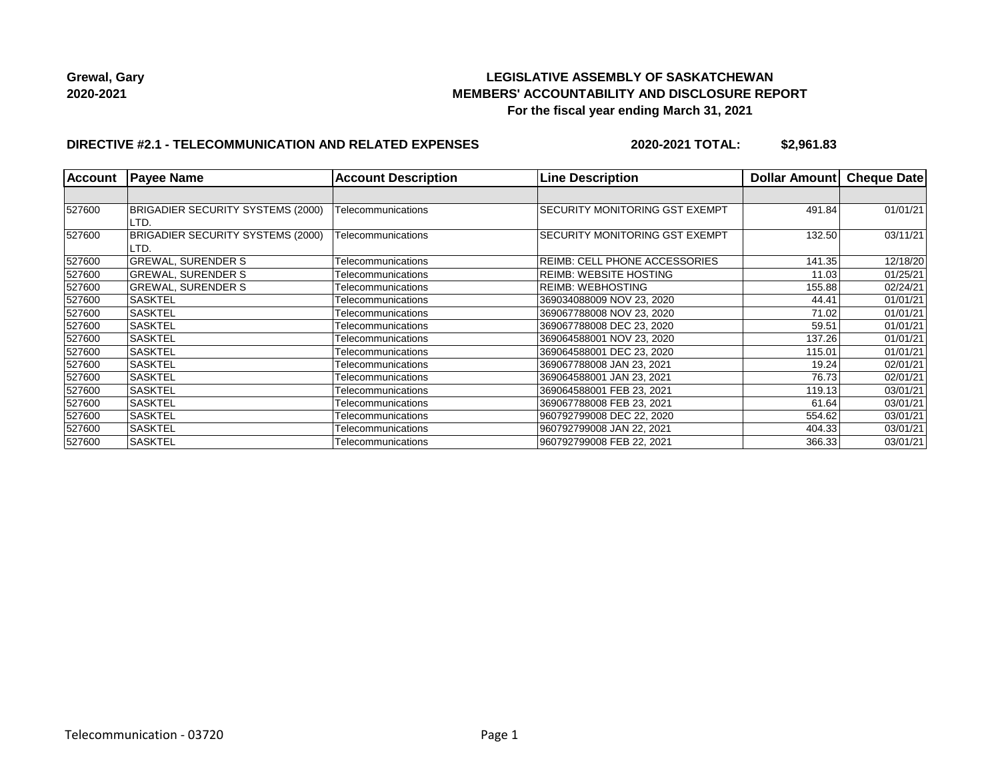

## **LEGISLATIVE ASSEMBLY OF SASKATCHEWAN MEMBERS' ACCOUNTABILITY AND DISCLOSURE REPORT For the fiscal year ending March 31, 2021**

### **DIRECTIVE #2.1 - TELECOMMUNICATION AND RELATED EXPENSES**

**2020-2021 TOTAL: \$2,961.83**

| <b>Account</b> | <b>Payee Name</b>                         | <b>Account Description</b> | <b>Line Description</b>        | <b>Dollar Amountl</b> | Cheque Date |
|----------------|-------------------------------------------|----------------------------|--------------------------------|-----------------------|-------------|
|                |                                           |                            |                                |                       |             |
| 527600         | BRIGADIER SECURITY SYSTEMS (2000)<br>LTD. | Telecommunications         | SECURITY MONITORING GST EXEMPT | 491.84                | 01/01/21    |
| 527600         | BRIGADIER SECURITY SYSTEMS (2000)<br>LTD. | Telecommunications         | SECURITY MONITORING GST EXEMPT | 132.50                | 03/11/21    |
| 527600         | <b>GREWAL, SURENDER S</b>                 | Telecommunications         | REIMB: CELL PHONE ACCESSORIES  | 141.35                | 12/18/20    |
| 527600         | <b>GREWAL, SURENDER S</b>                 | Telecommunications         | REIMB: WEBSITE HOSTING         | 11.03                 | 01/25/21    |
| 527600         | <b>GREWAL, SURENDER S</b>                 | Telecommunications         | <b>REIMB: WEBHOSTING</b>       | 155.88                | 02/24/21    |
| 527600         | <b>SASKTEL</b>                            | Telecommunications         | 369034088009 NOV 23, 2020      | 44.41                 | 01/01/21    |
| 527600         | <b>SASKTEL</b>                            | Telecommunications         | 369067788008 NOV 23, 2020      | 71.02                 | 01/01/21    |
| 527600         | <b>SASKTEL</b>                            | Telecommunications         | 369067788008 DEC 23, 2020      | 59.51                 | 01/01/21    |
| 527600         | <b>SASKTEL</b>                            | Telecommunications         | 369064588001 NOV 23, 2020      | 137.26                | 01/01/21    |
| 527600         | <b>SASKTEL</b>                            | Telecommunications         | 369064588001 DEC 23, 2020      | 115.01                | 01/01/21    |
| 527600         | <b>SASKTEL</b>                            | Telecommunications         | 369067788008 JAN 23, 2021      | 19.24                 | 02/01/21    |
| 527600         | <b>SASKTEL</b>                            | Telecommunications         | 369064588001 JAN 23, 2021      | 76.73                 | 02/01/21    |
| 527600         | <b>SASKTEL</b>                            | Telecommunications         | 369064588001 FEB 23, 2021      | 119.13                | 03/01/21    |
| 527600         | <b>SASKTEL</b>                            | Telecommunications         | 369067788008 FEB 23, 2021      | 61.64                 | 03/01/21    |
| 527600         | <b>SASKTEL</b>                            | Telecommunications         | 960792799008 DEC 22, 2020      | 554.62                | 03/01/21    |
| 527600         | <b>SASKTEL</b>                            | Telecommunications         | 960792799008 JAN 22, 2021      | 404.33                | 03/01/21    |
| 527600         | <b>SASKTEL</b>                            | Telecommunications         | 960792799008 FEB 22, 2021      | 366.33                | 03/01/21    |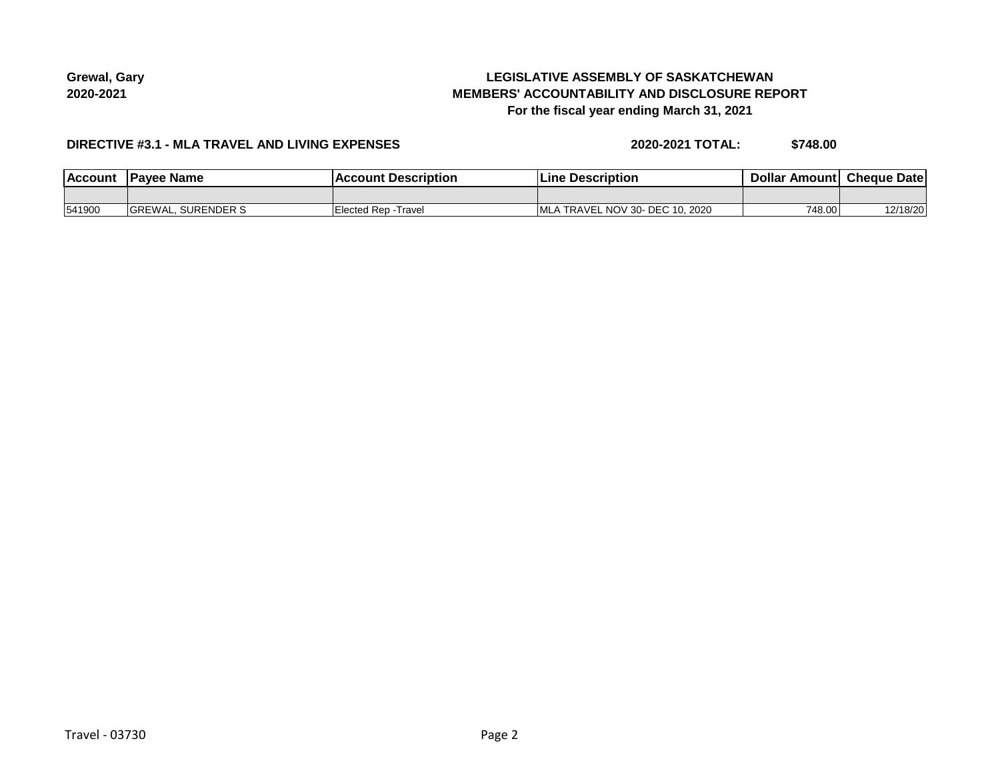# **LEGISLATIVE ASSEMBLY OF SASKATCHEWAN MEMBERS' ACCOUNTABILITY AND DISCLOSURE REPORT For the fiscal year ending March 31, 2021**

### **DIRECTIVE #3.1 - MLA TRAVEL AND LIVING EXPENSES**

**2020-2021 TOTAL: \$748.00**

| <b>Account</b> | <b>Pavee Name</b>         | : Description<br>Account | ⊦ Description<br>Line              | <b>Dollar Amountl</b> | <b>Cheque Date</b> |
|----------------|---------------------------|--------------------------|------------------------------------|-----------------------|--------------------|
|                |                           |                          |                                    |                       |                    |
| 541900         | <b>GREWAL, SURENDER S</b> | Elected Rep - Travel     | TRAVEL NOV 30- DEC 10, 2020<br>MLA | 748.00                | 12/18/20           |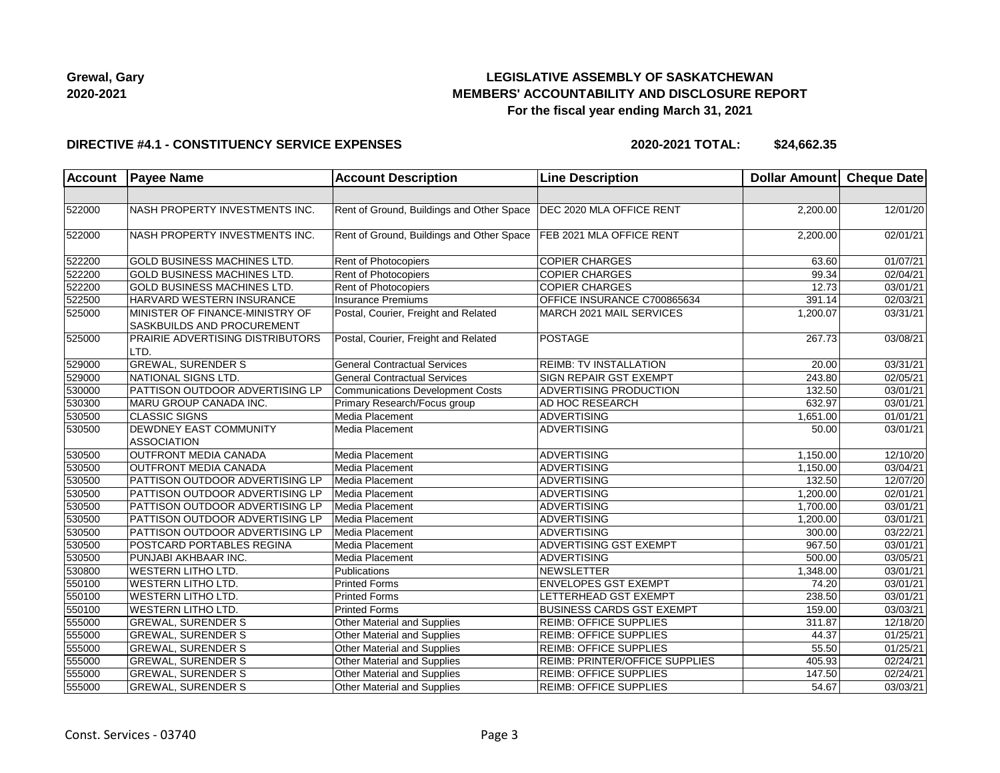

## **LEGISLATIVE ASSEMBLY OF SASKATCHEWAN MEMBERS' ACCOUNTABILITY AND DISCLOSURE REPORT For the fiscal year ending March 31, 2021**

#### **DIRECTIVE #4.1 - CONSTITUENCY SERVICE EXPENSES**

**2020-2021 TOTAL: \$24,662.35**

| <b>Account</b> | <b>Payee Name</b>                                             | <b>Account Description</b>                                           | <b>Line Description</b>               | Dollar Amount Cheque Date |                       |
|----------------|---------------------------------------------------------------|----------------------------------------------------------------------|---------------------------------------|---------------------------|-----------------------|
|                |                                                               |                                                                      |                                       |                           |                       |
| 522000         | NASH PROPERTY INVESTMENTS INC.                                | Rent of Ground, Buildings and Other Space   DEC 2020 MLA OFFICE RENT |                                       | 2,200.00                  | 12/01/20              |
| 522000         | NASH PROPERTY INVESTMENTS INC.                                | Rent of Ground, Buildings and Other Space   FEB 2021 MLA OFFICE RENT |                                       | 2,200.00                  | 02/01/21              |
| 522200         | <b>GOLD BUSINESS MACHINES LTD.</b>                            | Rent of Photocopiers                                                 | <b>COPIER CHARGES</b>                 | 63.60                     | 01/07/21              |
| 522200         | <b>GOLD BUSINESS MACHINES LTD.</b>                            | <b>Rent of Photocopiers</b>                                          | <b>COPIER CHARGES</b>                 | 99.34                     | $\overline{02}/04/21$ |
| 522200         | <b>GOLD BUSINESS MACHINES LTD.</b>                            | Rent of Photocopiers                                                 | <b>COPIER CHARGES</b>                 | 12.73                     | 03/01/21              |
| 522500         | HARVARD WESTERN INSURANCE                                     | <b>Insurance Premiums</b>                                            | OFFICE INSURANCE C700865634           | 391.14                    | 02/03/21              |
| 525000         | MINISTER OF FINANCE-MINISTRY OF<br>SASKBUILDS AND PROCUREMENT | Postal, Courier, Freight and Related                                 | MARCH 2021 MAIL SERVICES              | 1,200.07                  | 03/31/21              |
| 525000         | PRAIRIE ADVERTISING DISTRIBUTORS<br>LTD.                      | Postal, Courier, Freight and Related                                 | <b>POSTAGE</b>                        | 267.73                    | 03/08/21              |
| 529000         | <b>GREWAL, SURENDER S</b>                                     | <b>General Contractual Services</b>                                  | <b>REIMB: TV INSTALLATION</b>         | 20.00                     | 03/31/21              |
| 529000         | NATIONAL SIGNS LTD.                                           | <b>General Contractual Services</b>                                  | SIGN REPAIR GST EXEMPT                | 243.80                    | 02/05/21              |
| 530000         | PATTISON OUTDOOR ADVERTISING LP                               | <b>Communications Development Costs</b>                              | ADVERTISING PRODUCTION                | 132.50                    | 03/01/21              |
| 530300         | MARU GROUP CANADA INC.                                        | Primary Research/Focus group                                         | <b>AD HOC RESEARCH</b>                | 632.97                    | 03/01/21              |
| 530500         | <b>CLASSIC SIGNS</b>                                          | Media Placement                                                      | <b>ADVERTISING</b>                    | 1,651.00                  | 01/01/21              |
| 530500         | DEWDNEY EAST COMMUNITY                                        | Media Placement                                                      | <b>ADVERTISING</b>                    | 50.00                     | 03/01/21              |
|                | <b>ASSOCIATION</b>                                            |                                                                      |                                       |                           |                       |
| 530500         | <b>OUTFRONT MEDIA CANADA</b>                                  | Media Placement                                                      | <b>ADVERTISING</b>                    | 1,150.00                  | 12/10/20              |
| 530500         | <b>OUTFRONT MEDIA CANADA</b>                                  | Media Placement                                                      | ADVERTISING                           | 1,150.00                  | 03/04/21              |
| 530500         | PATTISON OUTDOOR ADVERTISING LP                               | Media Placement                                                      | ADVERTISING                           | 132.50                    | 12/07/20              |
| 530500         | PATTISON OUTDOOR ADVERTISING LP                               | Media Placement                                                      | ADVERTISING                           | 1,200.00                  | 02/01/21              |
| 530500         | PATTISON OUTDOOR ADVERTISING LP                               | Media Placement                                                      | ADVERTISING                           | 1,700.00                  | 03/01/21              |
| 530500         | PATTISON OUTDOOR ADVERTISING LP                               | Media Placement                                                      | ADVERTISING                           | 1,200.00                  | 03/01/21              |
| 530500         | PATTISON OUTDOOR ADVERTISING LP                               | Media Placement                                                      | <b>ADVERTISING</b>                    | 300.00                    | 03/22/21              |
| 530500         | POSTCARD PORTABLES REGINA                                     | Media Placement                                                      | <b>ADVERTISING GST EXEMPT</b>         | 967.50                    | 03/01/21              |
| 530500         | PUNJABI AKHBAAR INC.                                          | Media Placement                                                      | ADVERTISING                           | 500.00                    | 03/05/21              |
| 530800         | <b>WESTERN LITHO LTD.</b>                                     | Publications                                                         | NEWSLETTER                            | 1,348.00                  | 03/01/21              |
| 550100         | <b>WESTERN LITHO LTD.</b>                                     | <b>Printed Forms</b>                                                 | <b>ENVELOPES GST EXEMPT</b>           | 74.20                     | 03/01/21              |
| 550100         | <b>WESTERN LITHO LTD.</b>                                     | <b>Printed Forms</b>                                                 | LETTERHEAD GST EXEMPT                 | 238.50                    | 03/01/21              |
| 550100         | <b>WESTERN LITHO LTD.</b>                                     | <b>Printed Forms</b>                                                 | <b>BUSINESS CARDS GST EXEMPT</b>      | 159.00                    | 03/03/21              |
| 555000         | <b>GREWAL, SURENDER S</b>                                     | Other Material and Supplies                                          | <b>REIMB: OFFICE SUPPLIES</b>         | 311.87                    | 12/18/20              |
| 555000         | <b>GREWAL, SURENDER S</b>                                     | Other Material and Supplies                                          | <b>REIMB: OFFICE SUPPLIES</b>         | 44.37                     | 01/25/21              |
| 555000         | <b>GREWAL, SURENDER S</b>                                     | Other Material and Supplies                                          | <b>REIMB: OFFICE SUPPLIES</b>         | 55.50                     | 01/25/21              |
| 555000         | <b>GREWAL, SURENDER S</b>                                     | Other Material and Supplies                                          | <b>REIMB: PRINTER/OFFICE SUPPLIES</b> | 405.93                    | 02/24/21              |
| 555000         | <b>GREWAL, SURENDER S</b>                                     | Other Material and Supplies                                          | REIMB: OFFICE SUPPLIES                | 147.50                    | 02/24/21              |
| 555000         | <b>GREWAL, SURENDER S</b>                                     | Other Material and Supplies                                          | <b>REIMB: OFFICE SUPPLIES</b>         | 54.67                     | 03/03/21              |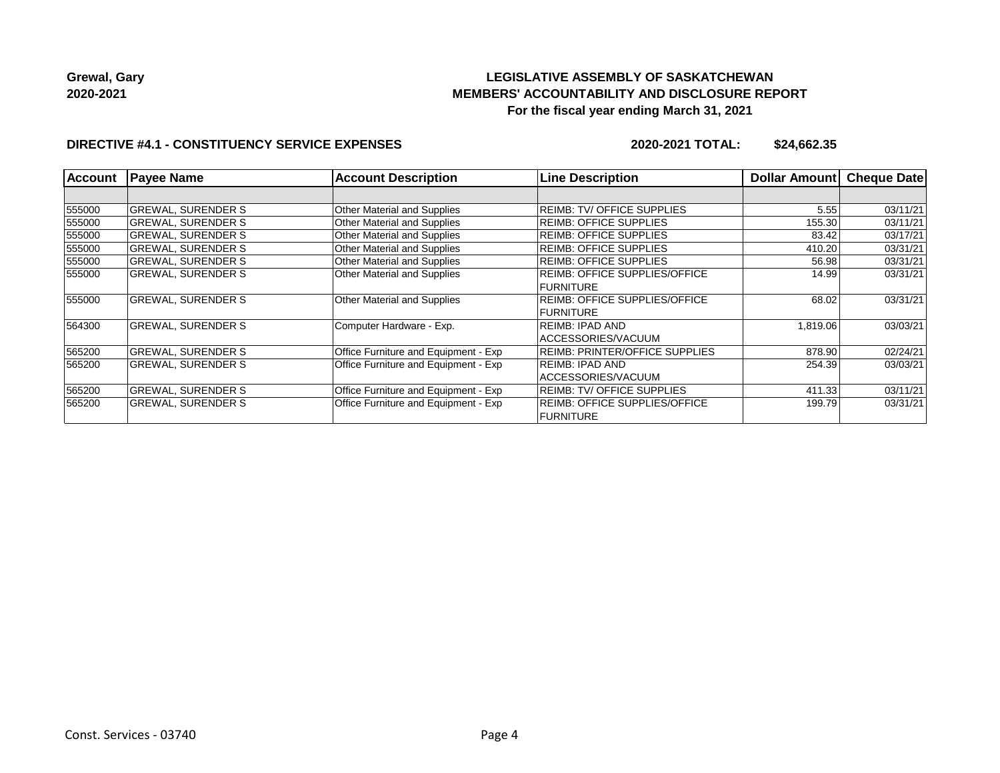# **LEGISLATIVE ASSEMBLY OF SASKATCHEWAN MEMBERS' ACCOUNTABILITY AND DISCLOSURE REPORT For the fiscal year ending March 31, 2021**

### **DIRECTIVE #4.1 - CONSTITUENCY SERVICE EXPENSES**

**2020-2021 TOTAL: \$24,662.35**

| <b>Account</b> | <b>Payee Name</b>         | <b>Account Description</b>                  | <b>Line Description</b>               | <b>Dollar Amountl</b> | <b>Cheque Date</b> |
|----------------|---------------------------|---------------------------------------------|---------------------------------------|-----------------------|--------------------|
|                |                           |                                             |                                       |                       |                    |
| 555000         | <b>GREWAL, SURENDER S</b> | <b>Other Material and Supplies</b>          | <b>REIMB: TV/ OFFICE SUPPLIES</b>     | 5.55                  | 03/11/21           |
| 555000         | <b>GREWAL, SURENDER S</b> | <b>Other Material and Supplies</b>          | REIMB: OFFICE SUPPLIES                | 155.30                | 03/11/21           |
| 555000         | <b>GREWAL, SURENDER S</b> | <b>Other Material and Supplies</b>          | <b>REIMB: OFFICE SUPPLIES</b>         | 83.42                 | 03/17/21           |
| 555000         | <b>GREWAL, SURENDER S</b> | Other Material and Supplies                 | <b>REIMB: OFFICE SUPPLIES</b>         | 410.20                | 03/31/21           |
| 555000         | <b>GREWAL, SURENDER S</b> | <b>Other Material and Supplies</b>          | <b>REIMB: OFFICE SUPPLIES</b>         | 56.98                 | 03/31/21           |
| 555000         | <b>GREWAL, SURENDER S</b> | <b>Other Material and Supplies</b>          | <b>REIMB: OFFICE SUPPLIES/OFFICE</b>  | 14.99                 | 03/31/21           |
|                |                           |                                             | <b>FURNITURE</b>                      |                       |                    |
| 555000         | <b>GREWAL, SURENDER S</b> | <b>Other Material and Supplies</b>          | <b>REIMB: OFFICE SUPPLIES/OFFICE</b>  | 68.02                 | 03/31/21           |
|                |                           |                                             | <b>FURNITURE</b>                      |                       |                    |
| 564300         | <b>GREWAL, SURENDER S</b> | Computer Hardware - Exp.                    | REIMB: IPAD AND                       | 1,819.06              | 03/03/21           |
|                |                           |                                             | ACCESSORIES/VACUUM                    |                       |                    |
| 565200         | <b>GREWAL, SURENDER S</b> | Office Furniture and Equipment - Exp        | <b>REIMB: PRINTER/OFFICE SUPPLIES</b> | 878.90                | 02/24/21           |
| 565200         | <b>GREWAL, SURENDER S</b> | Office Furniture and Equipment - Exp        | REIMB: IPAD AND                       | 254.39                | 03/03/21           |
|                |                           |                                             | ACCESSORIES/VACUUM                    |                       |                    |
| 565200         | <b>GREWAL, SURENDER S</b> | Office Furniture and Equipment - Exp        | <b>REIMB: TV/ OFFICE SUPPLIES</b>     | 411.33                | 03/11/21           |
| 565200         | <b>GREWAL, SURENDER S</b> | <b>Office Furniture and Equipment - Exp</b> | <b>REIMB: OFFICE SUPPLIES/OFFICE</b>  | 199.79                | 03/31/21           |
|                |                           |                                             | <b>FURNITURE</b>                      |                       |                    |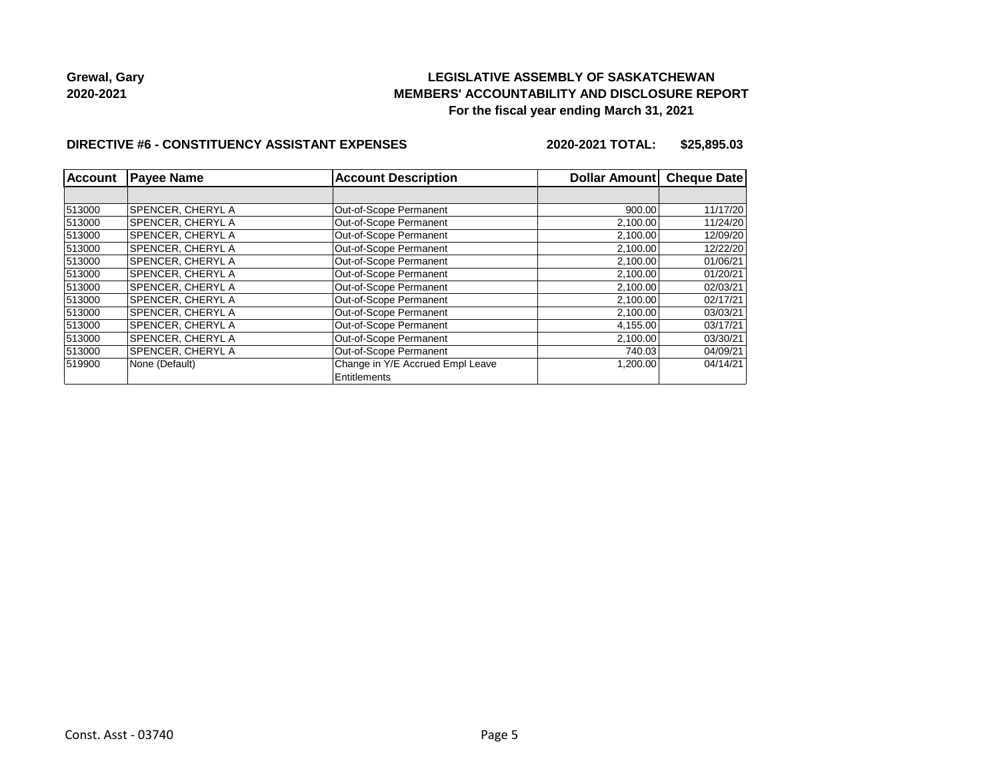## **LEGISLATIVE ASSEMBLY OF SASKATCHEWAN MEMBERS' ACCOUNTABILITY AND DISCLOSURE REPORT For the fiscal year ending March 31, 2021**

#### **DIRECTIVE #6 - CONSTITUENCY ASSISTANT EXPENSES**

**2020-2021 TOTAL: \$25,895.03**

| Account | <b>Payee Name</b>        | <b>Account Description</b>                       | Dollar Amount | <b>Cheque Date</b> |
|---------|--------------------------|--------------------------------------------------|---------------|--------------------|
|         |                          |                                                  |               |                    |
| 513000  | SPENCER, CHERYL A        | Out-of-Scope Permanent                           | 900.00        | 11/17/20           |
| 513000  | SPENCER, CHERYL A        | Out-of-Scope Permanent                           | 2,100.00      | 11/24/20           |
| 513000  | SPENCER, CHERYL A        | Out-of-Scope Permanent                           | 2,100.00      | 12/09/20           |
| 513000  | SPENCER. CHERYL A        | Out-of-Scope Permanent                           | 2,100.00      | 12/22/20           |
| 513000  | SPENCER, CHERYL A        | Out-of-Scope Permanent                           | 2,100.00      | 01/06/21           |
| 513000  | <b>SPENCER, CHERYL A</b> | Out-of-Scope Permanent                           | 2,100.00      | 01/20/21           |
| 513000  | SPENCER. CHERYL A        | Out-of-Scope Permanent                           | 2,100.00      | 02/03/21           |
| 513000  | <b>SPENCER, CHERYL A</b> | Out-of-Scope Permanent                           | 2,100.00      | 02/17/21           |
| 513000  | SPENCER, CHERYL A        | Out-of-Scope Permanent                           | 2,100.00      | 03/03/21           |
| 513000  | SPENCER, CHERYL A        | Out-of-Scope Permanent                           | 4,155.00      | 03/17/21           |
| 513000  | SPENCER, CHERYL A        | Out-of-Scope Permanent                           | 2,100.00      | 03/30/21           |
| 513000  | SPENCER, CHERYL A        | Out-of-Scope Permanent                           | 740.03        | 04/09/21           |
| 519900  | None (Default)           | Change in Y/E Accrued Empl Leave<br>Entitlements | 1,200.00      | 04/14/21           |